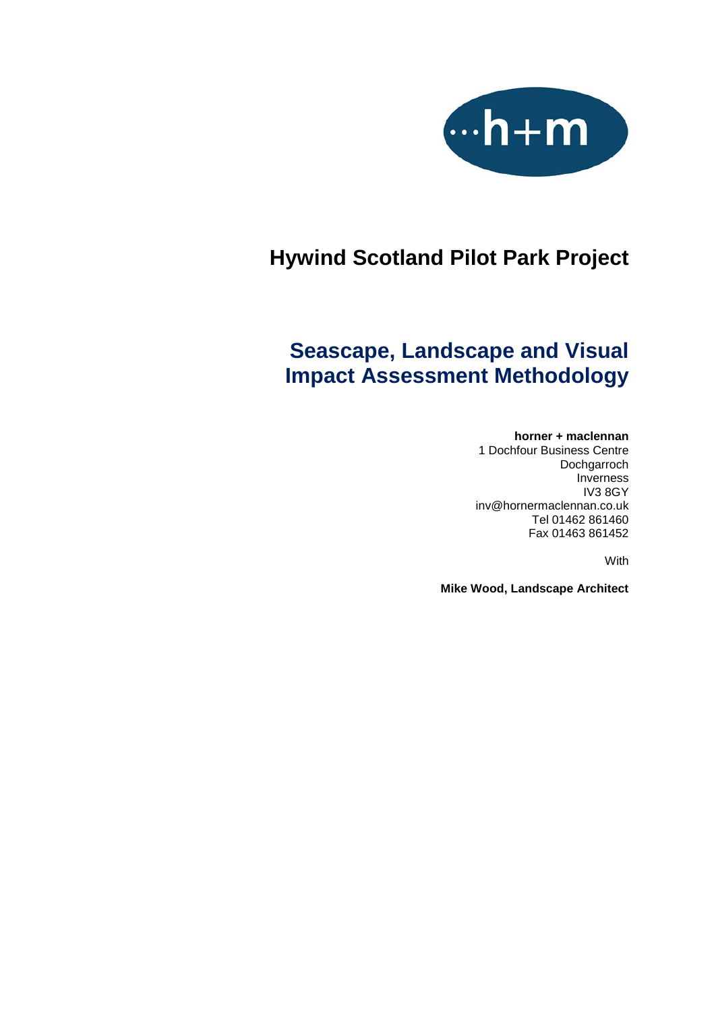

# **Hywind Scotland Pilot Park Project**

# **Seascape, Landscape and Visual Impact Assessment Methodology**

#### **horner + maclennan**

1 Dochfour Business Centre Dochgarroch Inverness IV3 8GY [inv@hornermaclennan.co.uk](mailto:inv@hornermaclennan.co.uk) Tel 01462 861460 Fax 01463 861452

With

**Mike Wood, Landscape Architect**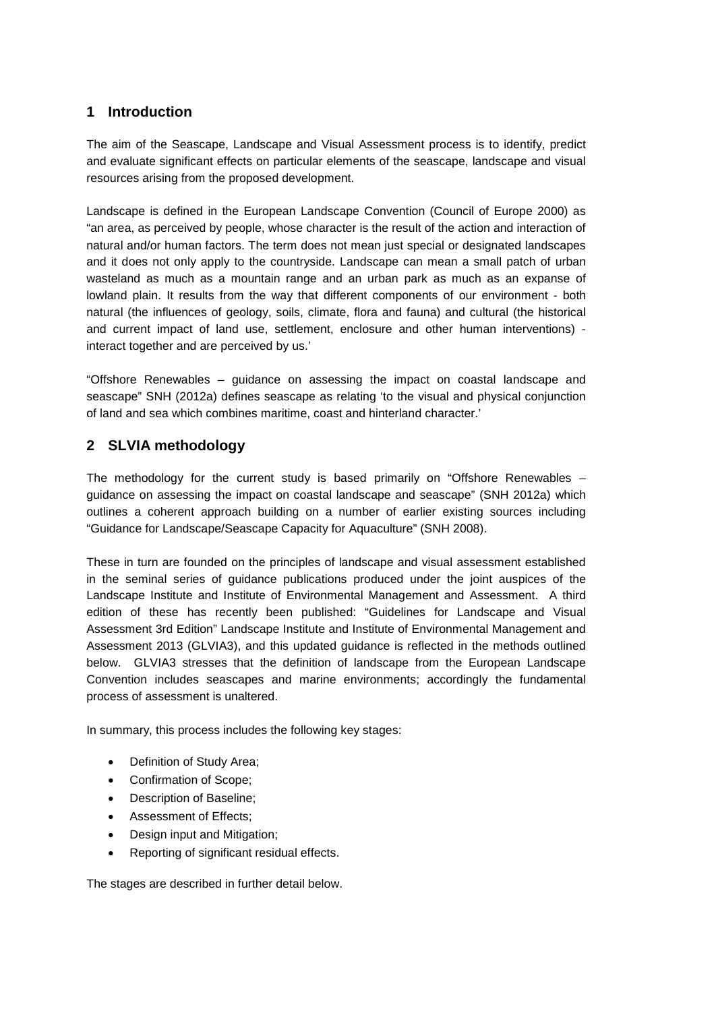#### **1 Introduction**

The aim of the Seascape, Landscape and Visual Assessment process is to identify, predict and evaluate significant effects on particular elements of the seascape, landscape and visual resources arising from the proposed development.

Landscape is defined in the European Landscape Convention (Council of Europe 2000) as "an area, as perceived by people, whose character is the result of the action and interaction of natural and/or human factors. The term does not mean just special or designated landscapes and it does not only apply to the countryside. Landscape can mean a small patch of urban wasteland as much as a mountain range and an urban park as much as an expanse of lowland plain. It results from the way that different components of our environment - both natural (the influences of geology, soils, climate, flora and fauna) and cultural (the historical and current impact of land use, settlement, enclosure and other human interventions) interact together and are perceived by us.'

"Offshore Renewables – guidance on assessing the impact on coastal landscape and seascape" SNH (2012a) defines seascape as relating 'to the visual and physical conjunction of land and sea which combines maritime, coast and hinterland character.'

### **2 SLVIA methodology**

The methodology for the current study is based primarily on "Offshore Renewables – guidance on assessing the impact on coastal landscape and seascape" (SNH 2012a) which outlines a coherent approach building on a number of earlier existing sources including "Guidance for Landscape/Seascape Capacity for Aquaculture" (SNH 2008).

These in turn are founded on the principles of landscape and visual assessment established in the seminal series of guidance publications produced under the joint auspices of the Landscape Institute and Institute of Environmental Management and Assessment. A third edition of these has recently been published: "Guidelines for Landscape and Visual Assessment 3rd Edition" Landscape Institute and Institute of Environmental Management and Assessment 2013 (GLVIA3), and this updated guidance is reflected in the methods outlined below. GLVIA3 stresses that the definition of landscape from the European Landscape Convention includes seascapes and marine environments; accordingly the fundamental process of assessment is unaltered.

In summary, this process includes the following key stages:

- Definition of Study Area;
- Confirmation of Scope;
- Description of Baseline;
- Assessment of Effects;
- Design input and Mitigation;
- Reporting of significant residual effects.

The stages are described in further detail below.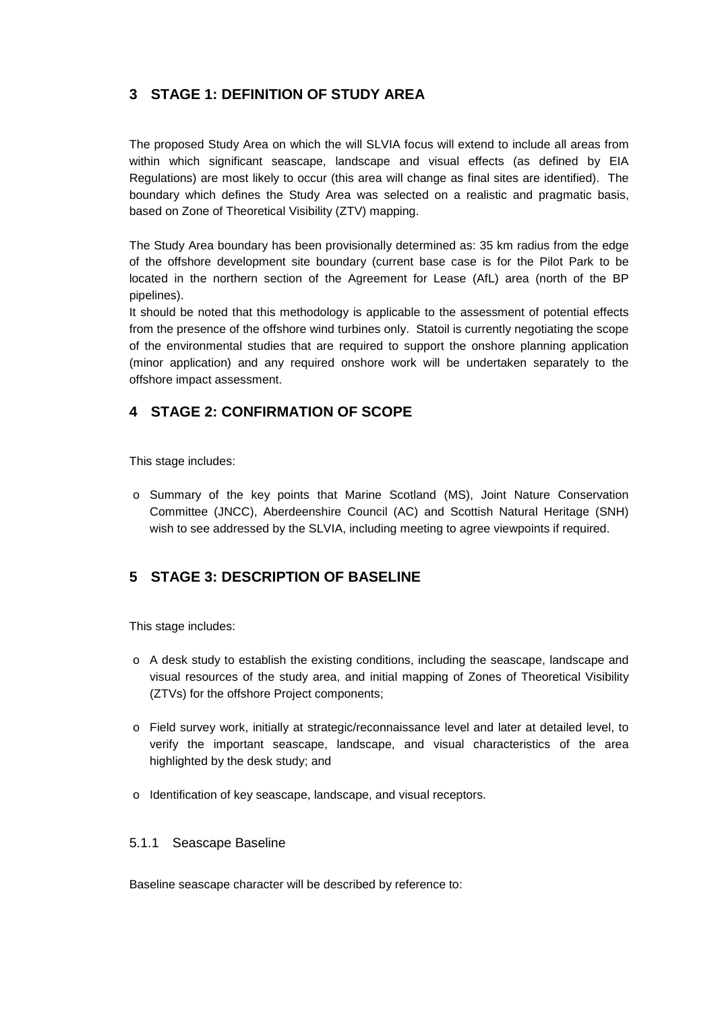# **3 STAGE 1: DEFINITION OF STUDY AREA**

The proposed Study Area on which the will SLVIA focus will extend to include all areas from within which significant seascape, landscape and visual effects (as defined by EIA Regulations) are most likely to occur (this area will change as final sites are identified). The boundary which defines the Study Area was selected on a realistic and pragmatic basis, based on Zone of Theoretical Visibility (ZTV) mapping.

The Study Area boundary has been provisionally determined as: 35 km radius from the edge of the offshore development site boundary (current base case is for the Pilot Park to be located in the northern section of the Agreement for Lease (AfL) area (north of the BP pipelines).

It should be noted that this methodology is applicable to the assessment of potential effects from the presence of the offshore wind turbines only. Statoil is currently negotiating the scope of the environmental studies that are required to support the onshore planning application (minor application) and any required onshore work will be undertaken separately to the offshore impact assessment.

# **4 STAGE 2: CONFIRMATION OF SCOPE**

This stage includes:

o Summary of the key points that Marine Scotland (MS), Joint Nature Conservation Committee (JNCC), Aberdeenshire Council (AC) and Scottish Natural Heritage (SNH) wish to see addressed by the SLVIA, including meeting to agree viewpoints if required.

# **5 STAGE 3: DESCRIPTION OF BASELINE**

This stage includes:

- o A desk study to establish the existing conditions, including the seascape, landscape and visual resources of the study area, and initial mapping of Zones of Theoretical Visibility (ZTVs) for the offshore Project components;
- o Field survey work, initially at strategic/reconnaissance level and later at detailed level, to verify the important seascape, landscape, and visual characteristics of the area highlighted by the desk study; and
- o Identification of key seascape, landscape, and visual receptors.

#### 5.1.1 Seascape Baseline

Baseline seascape character will be described by reference to: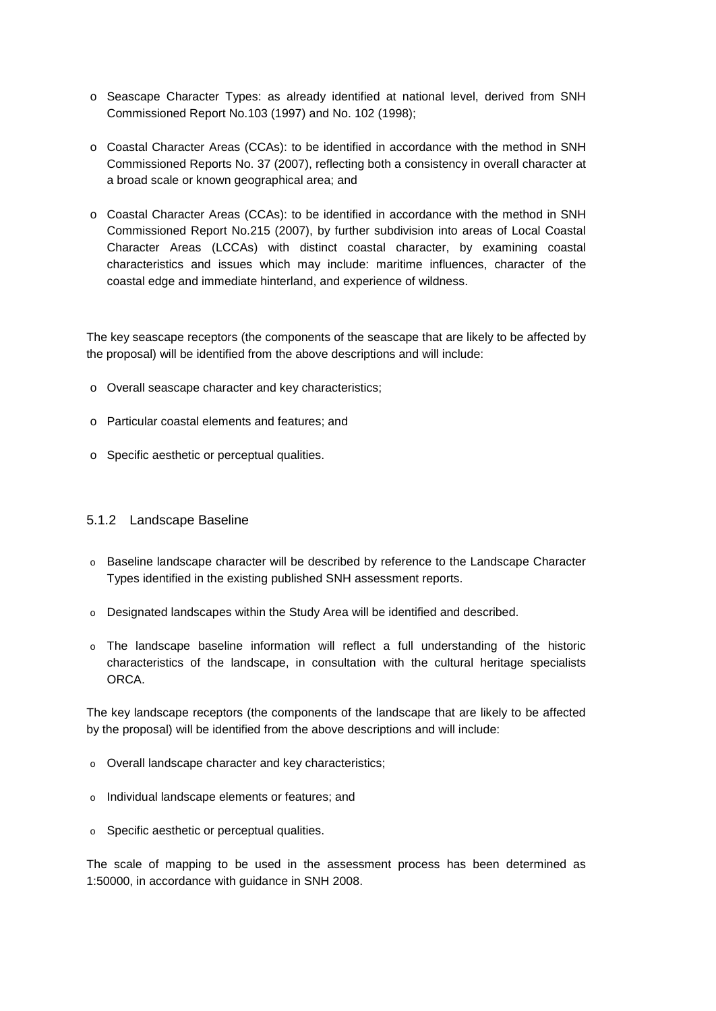- o Seascape Character Types: as already identified at national level, derived from SNH Commissioned Report No.103 (1997) and No. 102 (1998);
- o Coastal Character Areas (CCAs): to be identified in accordance with the method in SNH Commissioned Reports No. 37 (2007), reflecting both a consistency in overall character at a broad scale or known geographical area; and
- o Coastal Character Areas (CCAs): to be identified in accordance with the method in SNH Commissioned Report No.215 (2007), by further subdivision into areas of Local Coastal Character Areas (LCCAs) with distinct coastal character, by examining coastal characteristics and issues which may include: maritime influences, character of the coastal edge and immediate hinterland, and experience of wildness.

The key seascape receptors (the components of the seascape that are likely to be affected by the proposal) will be identified from the above descriptions and will include:

- o Overall seascape character and key characteristics;
- o Particular coastal elements and features; and
- o Specific aesthetic or perceptual qualities.

#### 5.1.2 Landscape Baseline

- o Baseline landscape character will be described by reference to the Landscape Character Types identified in the existing published SNH assessment reports.
- $\circ$  Designated landscapes within the Study Area will be identified and described.
- o The landscape baseline information will reflect a full understanding of the historic characteristics of the landscape, in consultation with the cultural heritage specialists ORCA.

The key landscape receptors (the components of the landscape that are likely to be affected by the proposal) will be identified from the above descriptions and will include:

- o Overall landscape character and key characteristics;
- o Individual landscape elements or features; and
- o Specific aesthetic or perceptual qualities.

The scale of mapping to be used in the assessment process has been determined as 1:50000, in accordance with guidance in SNH 2008.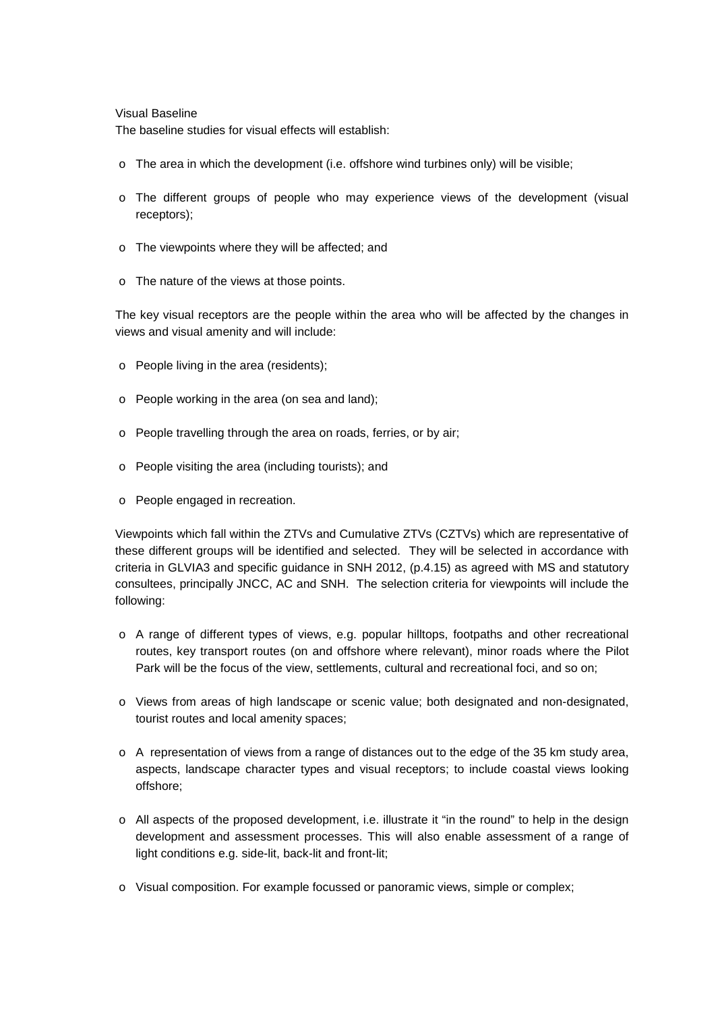#### Visual Baseline

The baseline studies for visual effects will establish:

- $\circ$  The area in which the development (i.e. offshore wind turbines only) will be visible;
- o The different groups of people who may experience views of the development (visual receptors);
- o The viewpoints where they will be affected; and
- o The nature of the views at those points.

The key visual receptors are the people within the area who will be affected by the changes in views and visual amenity and will include:

- o People living in the area (residents);
- o People working in the area (on sea and land);
- o People travelling through the area on roads, ferries, or by air;
- o People visiting the area (including tourists); and
- o People engaged in recreation.

Viewpoints which fall within the ZTVs and Cumulative ZTVs (CZTVs) which are representative of these different groups will be identified and selected. They will be selected in accordance with criteria in GLVIA3 and specific guidance in SNH 2012, (p.4.15) as agreed with MS and statutory consultees, principally JNCC, AC and SNH. The selection criteria for viewpoints will include the following:

- o A range of different types of views, e.g. popular hilltops, footpaths and other recreational routes, key transport routes (on and offshore where relevant), minor roads where the Pilot Park will be the focus of the view, settlements, cultural and recreational foci, and so on;
- o Views from areas of high landscape or scenic value; both designated and non-designated, tourist routes and local amenity spaces;
- o A representation of views from a range of distances out to the edge of the 35 km study area, aspects, landscape character types and visual receptors; to include coastal views looking offshore;
- o All aspects of the proposed development, i.e. illustrate it "in the round" to help in the design development and assessment processes. This will also enable assessment of a range of light conditions e.g. side-lit, back-lit and front-lit;
- o Visual composition. For example focussed or panoramic views, simple or complex;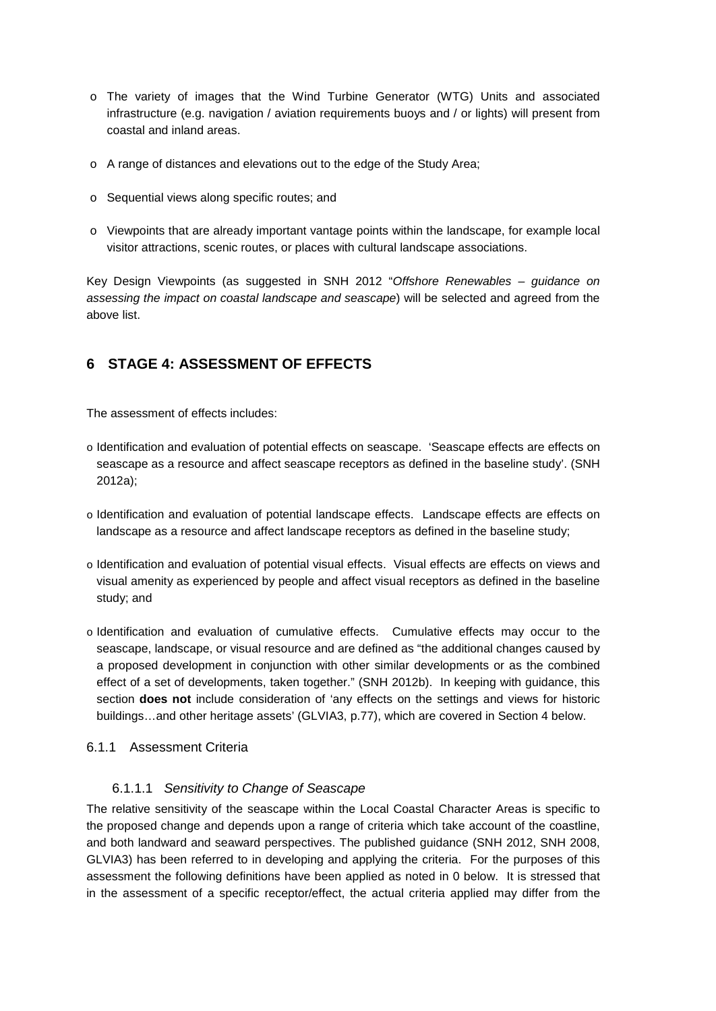- o The variety of images that the Wind Turbine Generator (WTG) Units and associated infrastructure (e.g. navigation / aviation requirements buoys and / or lights) will present from coastal and inland areas.
- o A range of distances and elevations out to the edge of the Study Area;
- o Sequential views along specific routes; and
- o Viewpoints that are already important vantage points within the landscape, for example local visitor attractions, scenic routes, or places with cultural landscape associations.

Key Design Viewpoints (as suggested in SNH 2012 "*Offshore Renewables – guidance on assessing the impact on coastal landscape and seascape*) will be selected and agreed from the above list.

## **6 STAGE 4: ASSESSMENT OF EFFECTS**

The assessment of effects includes:

- o Identification and evaluation of potential effects on seascape. 'Seascape effects are effects on seascape as a resource and affect seascape receptors as defined in the baseline study'. (SNH 2012a);
- o Identification and evaluation of potential landscape effects. Landscape effects are effects on landscape as a resource and affect landscape receptors as defined in the baseline study;
- o Identification and evaluation of potential visual effects. Visual effects are effects on views and visual amenity as experienced by people and affect visual receptors as defined in the baseline study; and
- o Identification and evaluation of cumulative effects. Cumulative effects may occur to the seascape, landscape, or visual resource and are defined as "the additional changes caused by a proposed development in conjunction with other similar developments or as the combined effect of a set of developments, taken together." (SNH 2012b). In keeping with guidance, this section **does not** include consideration of 'any effects on the settings and views for historic buildings…and other heritage assets' (GLVIA3, p.77), which are covered in Section 4 below.

#### 6.1.1 Assessment Criteria

#### 6.1.1.1 *Sensitivity to Change of Seascape*

The relative sensitivity of the seascape within the Local Coastal Character Areas is specific to the proposed change and depends upon a range of criteria which take account of the coastline, and both landward and seaward perspectives. The published guidance (SNH 2012, SNH 2008, GLVIA3) has been referred to in developing and applying the criteria. For the purposes of this assessment the following definitions have been applied as noted in [0](#page-6-0) below. It is stressed that in the assessment of a specific receptor/effect, the actual criteria applied may differ from the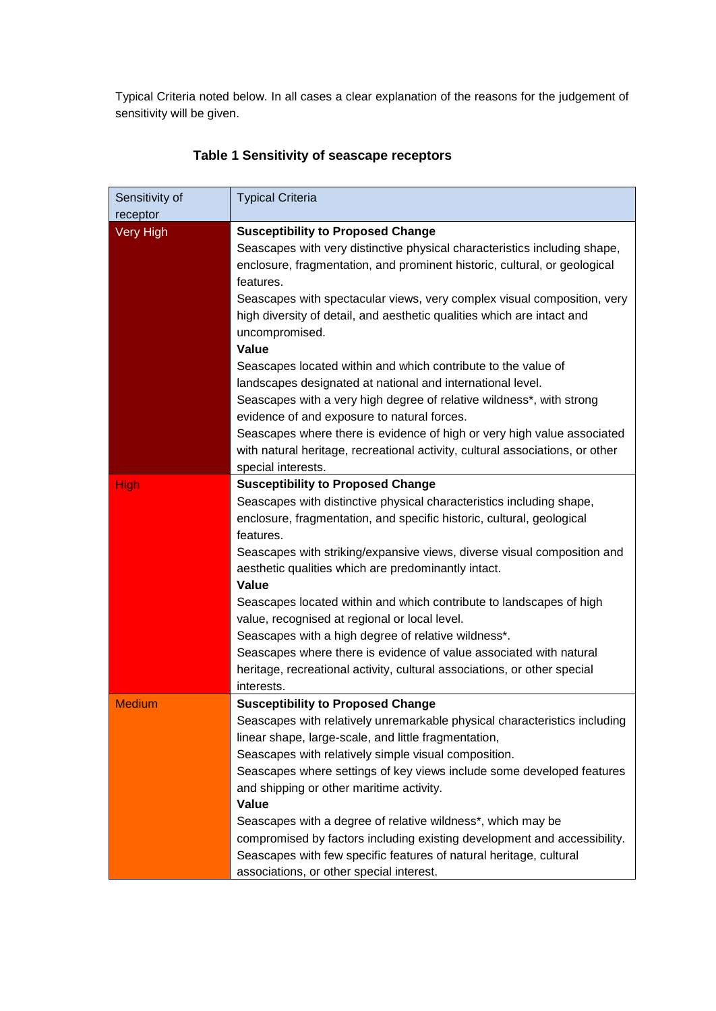Typical Criteria noted below. In all cases a clear explanation of the reasons for the judgement of sensitivity will be given.

<span id="page-6-0"></span>

| Sensitivity of        | <b>Typical Criteria</b>                                                                                                                                                      |
|-----------------------|------------------------------------------------------------------------------------------------------------------------------------------------------------------------------|
| receptor<br>Very High | <b>Susceptibility to Proposed Change</b>                                                                                                                                     |
|                       | Seascapes with very distinctive physical characteristics including shape,<br>enclosure, fragmentation, and prominent historic, cultural, or geological<br>features.          |
|                       | Seascapes with spectacular views, very complex visual composition, very<br>high diversity of detail, and aesthetic qualities which are intact and<br>uncompromised.<br>Value |
|                       |                                                                                                                                                                              |
|                       | Seascapes located within and which contribute to the value of                                                                                                                |
|                       | landscapes designated at national and international level.                                                                                                                   |
|                       | Seascapes with a very high degree of relative wildness*, with strong<br>evidence of and exposure to natural forces.                                                          |
|                       | Seascapes where there is evidence of high or very high value associated                                                                                                      |
|                       | with natural heritage, recreational activity, cultural associations, or other                                                                                                |
|                       | special interests.                                                                                                                                                           |
| <b>High</b>           | <b>Susceptibility to Proposed Change</b>                                                                                                                                     |
|                       | Seascapes with distinctive physical characteristics including shape,                                                                                                         |
|                       | enclosure, fragmentation, and specific historic, cultural, geological                                                                                                        |
|                       | features.                                                                                                                                                                    |
|                       | Seascapes with striking/expansive views, diverse visual composition and                                                                                                      |
|                       | aesthetic qualities which are predominantly intact.                                                                                                                          |
|                       | Value                                                                                                                                                                        |
|                       | Seascapes located within and which contribute to landscapes of high                                                                                                          |
|                       | value, recognised at regional or local level.                                                                                                                                |
|                       | Seascapes with a high degree of relative wildness*.                                                                                                                          |
|                       | Seascapes where there is evidence of value associated with natural                                                                                                           |
|                       | heritage, recreational activity, cultural associations, or other special                                                                                                     |
|                       | interests.                                                                                                                                                                   |
| <b>Medium</b>         | <b>Susceptibility to Proposed Change</b>                                                                                                                                     |
|                       | Seascapes with relatively unremarkable physical characteristics including                                                                                                    |
|                       | linear shape, large-scale, and little fragmentation,                                                                                                                         |
|                       | Seascapes with relatively simple visual composition.                                                                                                                         |
|                       | Seascapes where settings of key views include some developed features                                                                                                        |
|                       | and shipping or other maritime activity.<br>Value                                                                                                                            |
|                       | Seascapes with a degree of relative wildness*, which may be                                                                                                                  |
|                       | compromised by factors including existing development and accessibility.                                                                                                     |
|                       | Seascapes with few specific features of natural heritage, cultural                                                                                                           |
|                       | associations, or other special interest.                                                                                                                                     |

# **Table 1 Sensitivity of seascape receptors**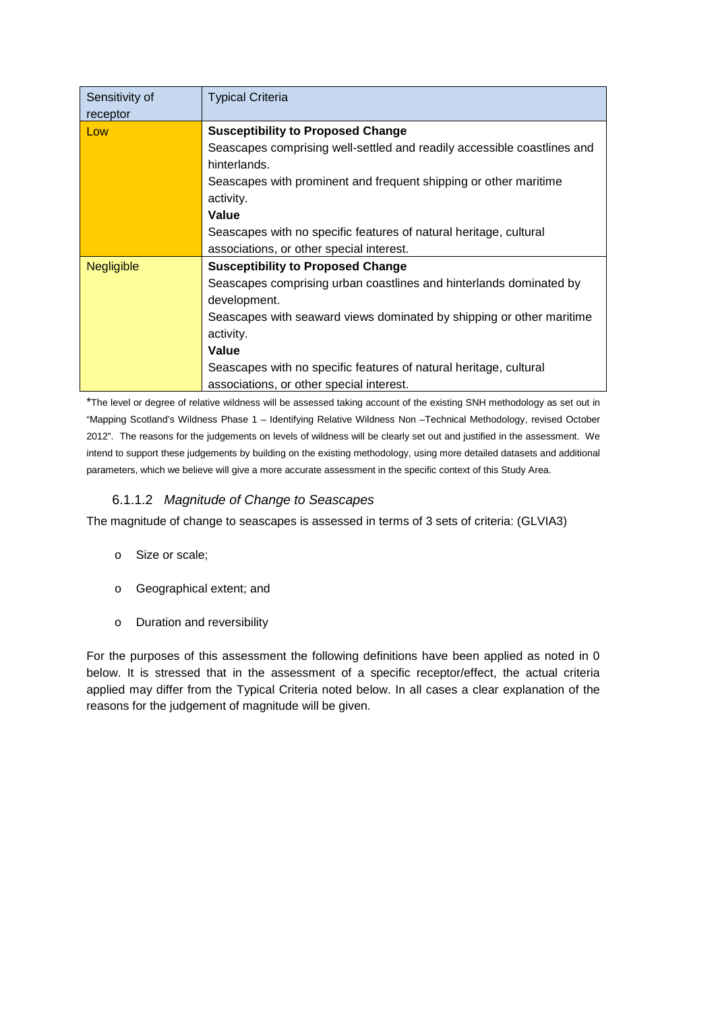| Sensitivity of    | <b>Typical Criteria</b>                                                 |  |  |  |  |  |
|-------------------|-------------------------------------------------------------------------|--|--|--|--|--|
| receptor          |                                                                         |  |  |  |  |  |
| Low               | <b>Susceptibility to Proposed Change</b>                                |  |  |  |  |  |
|                   | Seascapes comprising well-settled and readily accessible coastlines and |  |  |  |  |  |
|                   | hinterlands.                                                            |  |  |  |  |  |
|                   | Seascapes with prominent and frequent shipping or other maritime        |  |  |  |  |  |
|                   | activity.                                                               |  |  |  |  |  |
|                   | Value                                                                   |  |  |  |  |  |
|                   | Seascapes with no specific features of natural heritage, cultural       |  |  |  |  |  |
|                   | associations, or other special interest.                                |  |  |  |  |  |
| <b>Negligible</b> | <b>Susceptibility to Proposed Change</b>                                |  |  |  |  |  |
|                   | Seascapes comprising urban coastlines and hinterlands dominated by      |  |  |  |  |  |
|                   | development.                                                            |  |  |  |  |  |
|                   | Seascapes with seaward views dominated by shipping or other maritime    |  |  |  |  |  |
|                   | activity.                                                               |  |  |  |  |  |
|                   | Value                                                                   |  |  |  |  |  |
|                   | Seascapes with no specific features of natural heritage, cultural       |  |  |  |  |  |
|                   | associations, or other special interest.                                |  |  |  |  |  |

\*The level or degree of relative wildness will be assessed taking account of the existing SNH methodology as set out in "Mapping Scotland's Wildness Phase 1 – Identifying Relative Wildness Non –Technical Methodology, revised October 2012". The reasons for the judgements on levels of wildness will be clearly set out and justified in the assessment. We intend to support these judgements by building on the existing methodology, using more detailed datasets and additional parameters, which we believe will give a more accurate assessment in the specific context of this Study Area.

## 6.1.1.2 *Magnitude of Change to Seascapes*

The magnitude of change to seascapes is assessed in terms of 3 sets of criteria: (GLVIA3)

- o Size or scale;
- o Geographical extent; and
- o Duration and reversibility

For the purposes of this assessment the following definitions have been applied as noted in [0](#page-8-0) below. It is stressed that in the assessment of a specific receptor/effect, the actual criteria applied may differ from the Typical Criteria noted below. In all cases a clear explanation of the reasons for the judgement of magnitude will be given.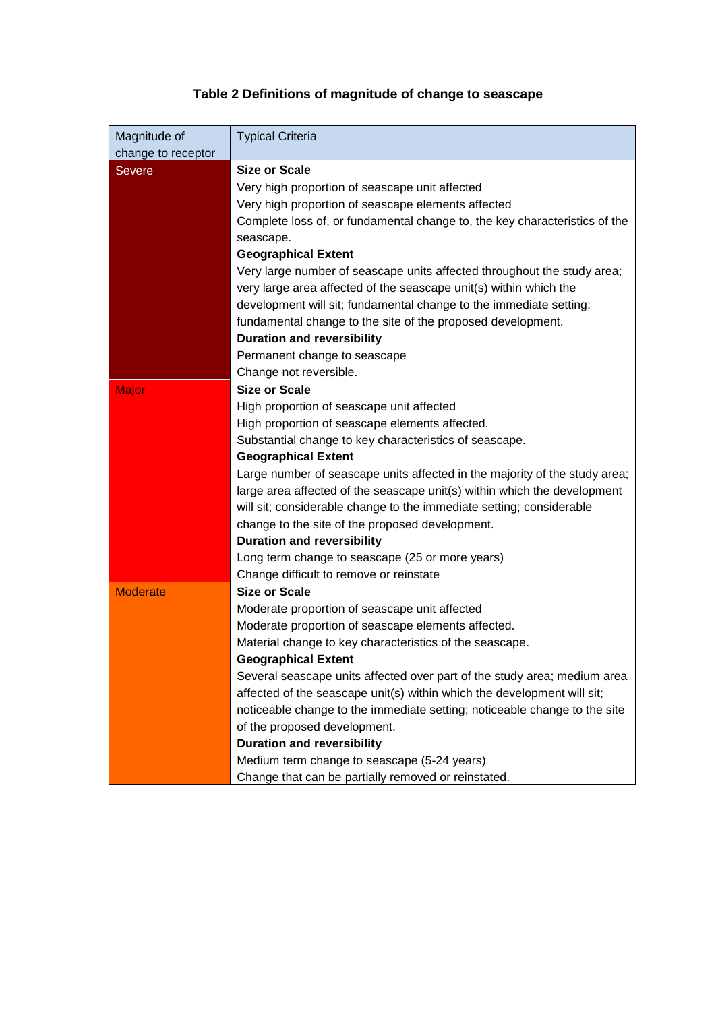# **Table 2 Definitions of magnitude of change to seascape**

<span id="page-8-0"></span>

| Magnitude of       | <b>Typical Criteria</b>                                                                    |  |  |  |  |  |
|--------------------|--------------------------------------------------------------------------------------------|--|--|--|--|--|
| change to receptor |                                                                                            |  |  |  |  |  |
| <b>Severe</b>      | <b>Size or Scale</b>                                                                       |  |  |  |  |  |
|                    | Very high proportion of seascape unit affected                                             |  |  |  |  |  |
|                    | Very high proportion of seascape elements affected                                         |  |  |  |  |  |
|                    | Complete loss of, or fundamental change to, the key characteristics of the                 |  |  |  |  |  |
|                    | seascape.                                                                                  |  |  |  |  |  |
|                    | <b>Geographical Extent</b>                                                                 |  |  |  |  |  |
|                    | Very large number of seascape units affected throughout the study area;                    |  |  |  |  |  |
|                    | very large area affected of the seascape unit(s) within which the                          |  |  |  |  |  |
|                    | development will sit; fundamental change to the immediate setting;                         |  |  |  |  |  |
|                    | fundamental change to the site of the proposed development.                                |  |  |  |  |  |
|                    | <b>Duration and reversibility</b>                                                          |  |  |  |  |  |
|                    | Permanent change to seascape                                                               |  |  |  |  |  |
|                    | Change not reversible.                                                                     |  |  |  |  |  |
| <b>Major</b>       | <b>Size or Scale</b>                                                                       |  |  |  |  |  |
|                    | High proportion of seascape unit affected                                                  |  |  |  |  |  |
|                    | High proportion of seascape elements affected.                                             |  |  |  |  |  |
|                    | Substantial change to key characteristics of seascape.<br><b>Geographical Extent</b>       |  |  |  |  |  |
|                    | Large number of seascape units affected in the majority of the study area;                 |  |  |  |  |  |
|                    |                                                                                            |  |  |  |  |  |
|                    | large area affected of the seascape unit(s) within which the development                   |  |  |  |  |  |
|                    | will sit; considerable change to the immediate setting; considerable                       |  |  |  |  |  |
|                    | change to the site of the proposed development.                                            |  |  |  |  |  |
|                    | <b>Duration and reversibility</b>                                                          |  |  |  |  |  |
|                    | Long term change to seascape (25 or more years)<br>Change difficult to remove or reinstate |  |  |  |  |  |
| <b>Moderate</b>    | <b>Size or Scale</b>                                                                       |  |  |  |  |  |
|                    | Moderate proportion of seascape unit affected                                              |  |  |  |  |  |
|                    | Moderate proportion of seascape elements affected.                                         |  |  |  |  |  |
|                    | Material change to key characteristics of the seascape.                                    |  |  |  |  |  |
|                    | <b>Geographical Extent</b>                                                                 |  |  |  |  |  |
|                    | Several seascape units affected over part of the study area; medium area                   |  |  |  |  |  |
|                    | affected of the seascape unit(s) within which the development will sit;                    |  |  |  |  |  |
|                    | noticeable change to the immediate setting; noticeable change to the site                  |  |  |  |  |  |
|                    | of the proposed development.                                                               |  |  |  |  |  |
|                    | <b>Duration and reversibility</b>                                                          |  |  |  |  |  |
|                    | Medium term change to seascape (5-24 years)                                                |  |  |  |  |  |
|                    | Change that can be partially removed or reinstated.                                        |  |  |  |  |  |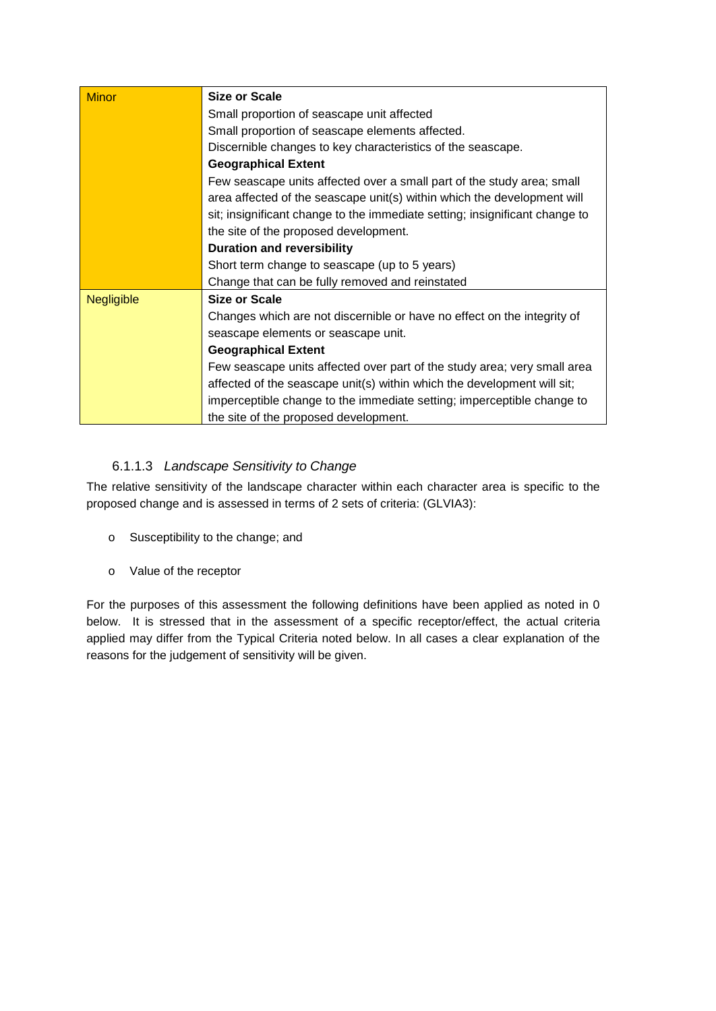| <b>Minor</b>      | Size or Scale                                                               |  |  |  |  |  |
|-------------------|-----------------------------------------------------------------------------|--|--|--|--|--|
|                   | Small proportion of seascape unit affected                                  |  |  |  |  |  |
|                   | Small proportion of seascape elements affected.                             |  |  |  |  |  |
|                   | Discernible changes to key characteristics of the seascape.                 |  |  |  |  |  |
|                   | <b>Geographical Extent</b>                                                  |  |  |  |  |  |
|                   | Few seascape units affected over a small part of the study area; small      |  |  |  |  |  |
|                   | area affected of the seascape unit(s) within which the development will     |  |  |  |  |  |
|                   | sit; insignificant change to the immediate setting; insignificant change to |  |  |  |  |  |
|                   | the site of the proposed development.                                       |  |  |  |  |  |
|                   | <b>Duration and reversibility</b>                                           |  |  |  |  |  |
|                   | Short term change to seascape (up to 5 years)                               |  |  |  |  |  |
|                   | Change that can be fully removed and reinstated                             |  |  |  |  |  |
| <b>Negligible</b> | Size or Scale                                                               |  |  |  |  |  |
|                   | Changes which are not discernible or have no effect on the integrity of     |  |  |  |  |  |
|                   | seascape elements or seascape unit.                                         |  |  |  |  |  |
|                   | <b>Geographical Extent</b>                                                  |  |  |  |  |  |
|                   | Few seascape units affected over part of the study area; very small area    |  |  |  |  |  |
|                   | affected of the seascape unit(s) within which the development will sit;     |  |  |  |  |  |
|                   | imperceptible change to the immediate setting; imperceptible change to      |  |  |  |  |  |
|                   | the site of the proposed development.                                       |  |  |  |  |  |

# 6.1.1.3 *Landscape Sensitivity to Change*

The relative sensitivity of the landscape character within each character area is specific to the proposed change and is assessed in terms of 2 sets of criteria: (GLVIA3):

- o Susceptibility to the change; and
- o Value of the receptor

For the purposes of this assessment the following definitions have been applied as noted in [0](#page-10-0) below. It is stressed that in the assessment of a specific receptor/effect, the actual criteria applied may differ from the Typical Criteria noted below. In all cases a clear explanation of the reasons for the judgement of sensitivity will be given.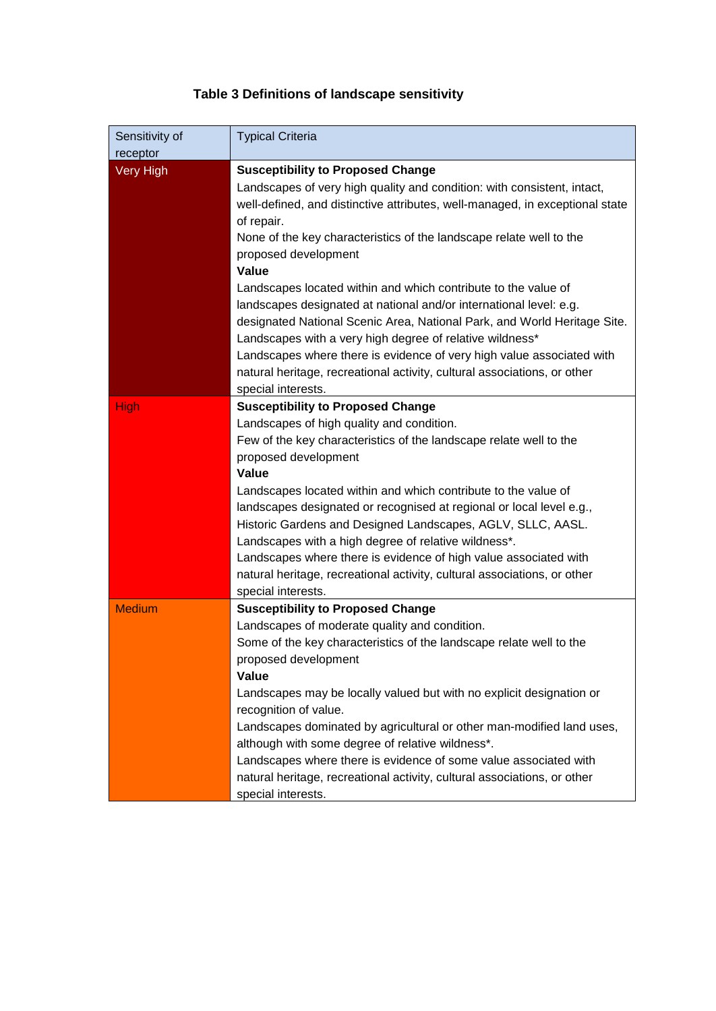# **Table 3 Definitions of landscape sensitivity**

<span id="page-10-0"></span>

| Sensitivity of<br>receptor | <b>Typical Criteria</b>                                                                                                                                                                                                                                                                                                                                                                                                                                                                                                                                                                                                     |  |  |  |  |
|----------------------------|-----------------------------------------------------------------------------------------------------------------------------------------------------------------------------------------------------------------------------------------------------------------------------------------------------------------------------------------------------------------------------------------------------------------------------------------------------------------------------------------------------------------------------------------------------------------------------------------------------------------------------|--|--|--|--|
| Very High                  | <b>Susceptibility to Proposed Change</b><br>Landscapes of very high quality and condition: with consistent, intact,<br>well-defined, and distinctive attributes, well-managed, in exceptional state<br>of repair.<br>None of the key characteristics of the landscape relate well to the<br>proposed development<br>Value                                                                                                                                                                                                                                                                                                   |  |  |  |  |
|                            | Landscapes located within and which contribute to the value of<br>landscapes designated at national and/or international level: e.g.<br>designated National Scenic Area, National Park, and World Heritage Site.<br>Landscapes with a very high degree of relative wildness*<br>Landscapes where there is evidence of very high value associated with<br>natural heritage, recreational activity, cultural associations, or other<br>special interests.                                                                                                                                                                     |  |  |  |  |
| <b>High</b>                | <b>Susceptibility to Proposed Change</b><br>Landscapes of high quality and condition.<br>Few of the key characteristics of the landscape relate well to the<br>proposed development<br><b>Value</b><br>Landscapes located within and which contribute to the value of<br>landscapes designated or recognised at regional or local level e.g.,<br>Historic Gardens and Designed Landscapes, AGLV, SLLC, AASL.<br>Landscapes with a high degree of relative wildness*.<br>Landscapes where there is evidence of high value associated with<br>natural heritage, recreational activity, cultural associations, or other        |  |  |  |  |
| <b>Medium</b>              | special interests.<br><b>Susceptibility to Proposed Change</b><br>Landscapes of moderate quality and condition.<br>Some of the key characteristics of the landscape relate well to the<br>proposed development<br>Value<br>Landscapes may be locally valued but with no explicit designation or<br>recognition of value.<br>Landscapes dominated by agricultural or other man-modified land uses,<br>although with some degree of relative wildness*.<br>Landscapes where there is evidence of some value associated with<br>natural heritage, recreational activity, cultural associations, or other<br>special interests. |  |  |  |  |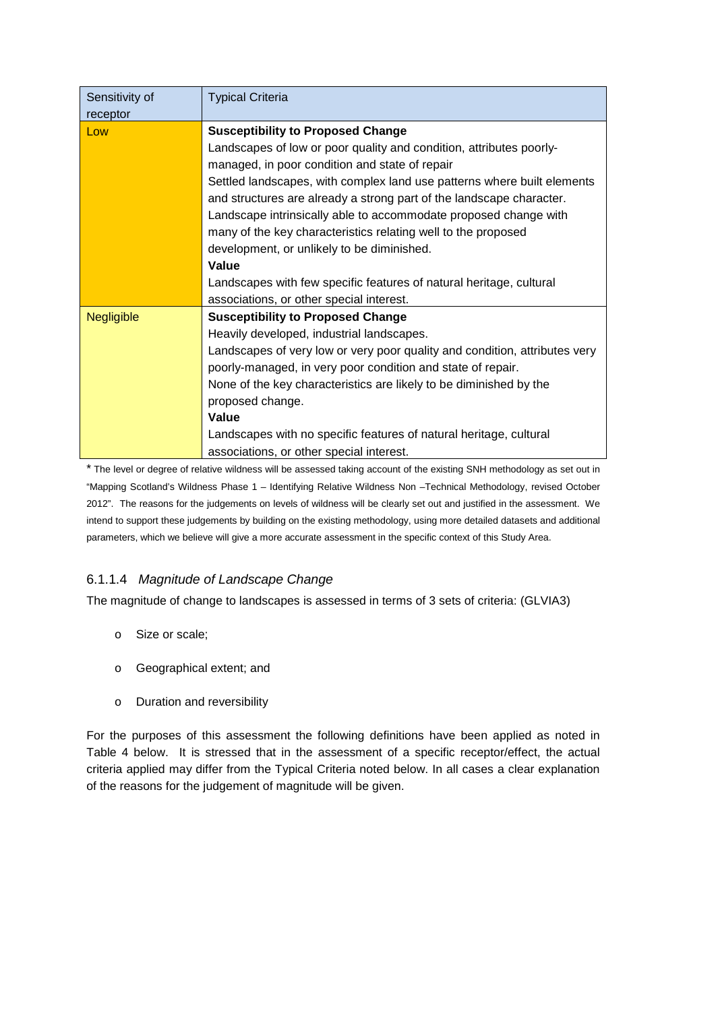| Sensitivity of<br>receptor | <b>Typical Criteria</b>                                                    |  |  |  |  |  |
|----------------------------|----------------------------------------------------------------------------|--|--|--|--|--|
|                            |                                                                            |  |  |  |  |  |
| Low                        | <b>Susceptibility to Proposed Change</b>                                   |  |  |  |  |  |
|                            | Landscapes of low or poor quality and condition, attributes poorly-        |  |  |  |  |  |
|                            | managed, in poor condition and state of repair                             |  |  |  |  |  |
|                            | Settled landscapes, with complex land use patterns where built elements    |  |  |  |  |  |
|                            | and structures are already a strong part of the landscape character.       |  |  |  |  |  |
|                            | Landscape intrinsically able to accommodate proposed change with           |  |  |  |  |  |
|                            | many of the key characteristics relating well to the proposed              |  |  |  |  |  |
|                            | development, or unlikely to be diminished.                                 |  |  |  |  |  |
|                            | Value                                                                      |  |  |  |  |  |
|                            | Landscapes with few specific features of natural heritage, cultural        |  |  |  |  |  |
|                            | associations, or other special interest.                                   |  |  |  |  |  |
| <b>Negligible</b>          | <b>Susceptibility to Proposed Change</b>                                   |  |  |  |  |  |
|                            | Heavily developed, industrial landscapes.                                  |  |  |  |  |  |
|                            | Landscapes of very low or very poor quality and condition, attributes very |  |  |  |  |  |
|                            | poorly-managed, in very poor condition and state of repair.                |  |  |  |  |  |
|                            | None of the key characteristics are likely to be diminished by the         |  |  |  |  |  |
|                            | proposed change.                                                           |  |  |  |  |  |
|                            | Value                                                                      |  |  |  |  |  |
|                            | Landscapes with no specific features of natural heritage, cultural         |  |  |  |  |  |
|                            | associations, or other special interest.                                   |  |  |  |  |  |

\* The level or degree of relative wildness will be assessed taking account of the existing SNH methodology as set out in "Mapping Scotland's Wildness Phase 1 – Identifying Relative Wildness Non –Technical Methodology, revised October 2012". The reasons for the judgements on levels of wildness will be clearly set out and justified in the assessment. We intend to support these judgements by building on the existing methodology, using more detailed datasets and additional parameters, which we believe will give a more accurate assessment in the specific context of this Study Area.

### 6.1.1.4 *Magnitude of Landscape Change*

The magnitude of change to landscapes is assessed in terms of 3 sets of criteria: (GLVIA3)

- o Size or scale;
- o Geographical extent; and
- o Duration and reversibility

For the purposes of this assessment the following definitions have been applied as noted in Table 4 below. It is stressed that in the assessment of a specific receptor/effect, the actual criteria applied may differ from the Typical Criteria noted below. In all cases a clear explanation of the reasons for the judgement of magnitude will be given.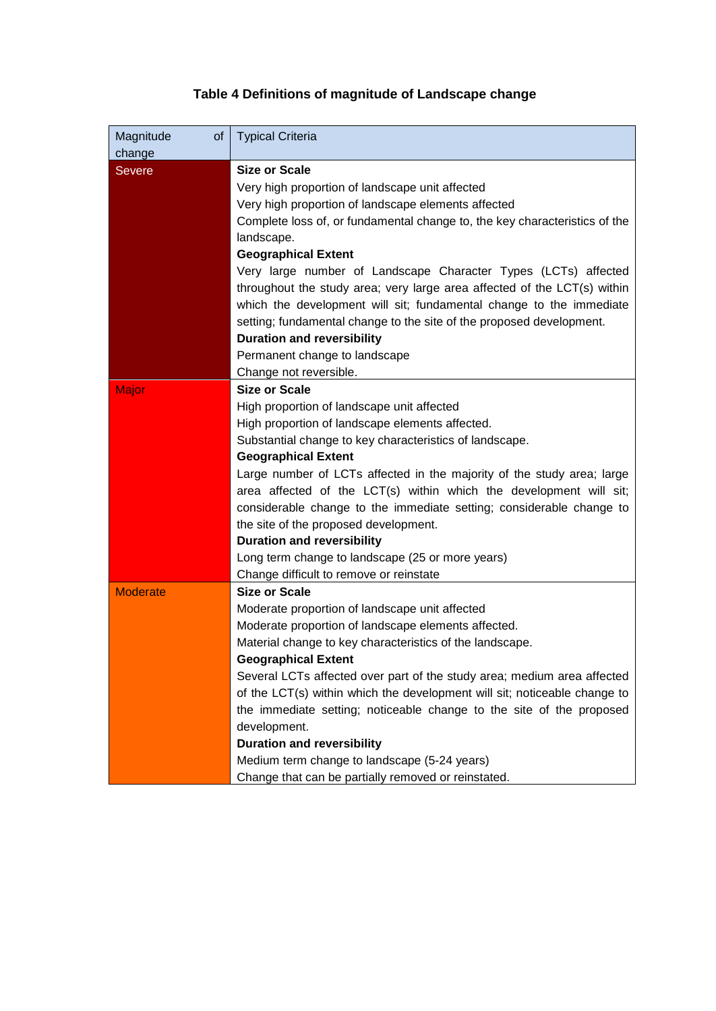# **Table 4 Definitions of magnitude of Landscape change**

| <b>Typical Criteria</b>                                                    |  |  |  |  |  |
|----------------------------------------------------------------------------|--|--|--|--|--|
| <b>Size or Scale</b>                                                       |  |  |  |  |  |
| Very high proportion of landscape unit affected                            |  |  |  |  |  |
| Very high proportion of landscape elements affected                        |  |  |  |  |  |
| Complete loss of, or fundamental change to, the key characteristics of the |  |  |  |  |  |
| landscape.                                                                 |  |  |  |  |  |
| <b>Geographical Extent</b>                                                 |  |  |  |  |  |
| Very large number of Landscape Character Types (LCTs) affected             |  |  |  |  |  |
| throughout the study area; very large area affected of the LCT(s) within   |  |  |  |  |  |
| which the development will sit; fundamental change to the immediate        |  |  |  |  |  |
| setting; fundamental change to the site of the proposed development.       |  |  |  |  |  |
| <b>Duration and reversibility</b>                                          |  |  |  |  |  |
| Permanent change to landscape                                              |  |  |  |  |  |
| Change not reversible.                                                     |  |  |  |  |  |
| <b>Size or Scale</b>                                                       |  |  |  |  |  |
| High proportion of landscape unit affected                                 |  |  |  |  |  |
| High proportion of landscape elements affected.                            |  |  |  |  |  |
| Substantial change to key characteristics of landscape.                    |  |  |  |  |  |
| <b>Geographical Extent</b>                                                 |  |  |  |  |  |
| Large number of LCTs affected in the majority of the study area; large     |  |  |  |  |  |
| area affected of the LCT(s) within which the development will sit;         |  |  |  |  |  |
| considerable change to the immediate setting; considerable change to       |  |  |  |  |  |
| the site of the proposed development.                                      |  |  |  |  |  |
| <b>Duration and reversibility</b>                                          |  |  |  |  |  |
| Long term change to landscape (25 or more years)                           |  |  |  |  |  |
| Change difficult to remove or reinstate                                    |  |  |  |  |  |
| <b>Size or Scale</b>                                                       |  |  |  |  |  |
| Moderate proportion of landscape unit affected                             |  |  |  |  |  |
| Moderate proportion of landscape elements affected.                        |  |  |  |  |  |
| Material change to key characteristics of the landscape.                   |  |  |  |  |  |
| <b>Geographical Extent</b>                                                 |  |  |  |  |  |
| Several LCTs affected over part of the study area; medium area affected    |  |  |  |  |  |
| of the LCT(s) within which the development will sit; noticeable change to  |  |  |  |  |  |
| the immediate setting; noticeable change to the site of the proposed       |  |  |  |  |  |
| development.<br><b>Duration and reversibility</b>                          |  |  |  |  |  |
| Medium term change to landscape (5-24 years)                               |  |  |  |  |  |
| Change that can be partially removed or reinstated.                        |  |  |  |  |  |
|                                                                            |  |  |  |  |  |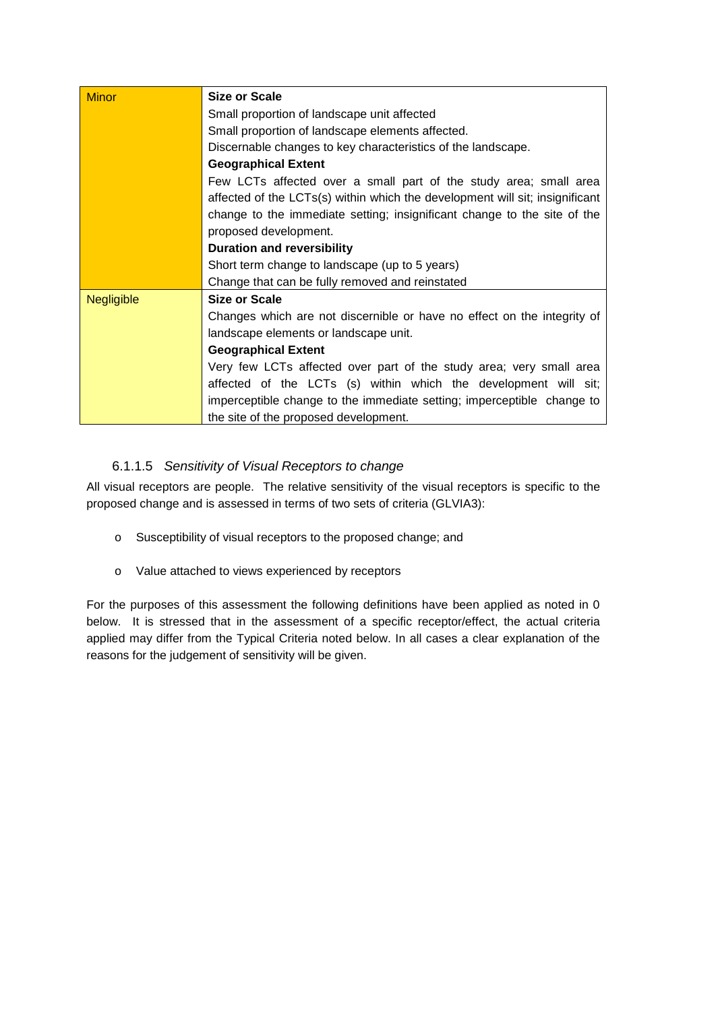| <b>Minor</b>      | Size or Scale                                                                |  |  |  |  |  |
|-------------------|------------------------------------------------------------------------------|--|--|--|--|--|
|                   | Small proportion of landscape unit affected                                  |  |  |  |  |  |
|                   | Small proportion of landscape elements affected.                             |  |  |  |  |  |
|                   | Discernable changes to key characteristics of the landscape.                 |  |  |  |  |  |
|                   | <b>Geographical Extent</b>                                                   |  |  |  |  |  |
|                   | Few LCTs affected over a small part of the study area; small area            |  |  |  |  |  |
|                   | affected of the LCTs(s) within which the development will sit; insignificant |  |  |  |  |  |
|                   | change to the immediate setting; insignificant change to the site of the     |  |  |  |  |  |
|                   | proposed development.                                                        |  |  |  |  |  |
|                   | <b>Duration and reversibility</b>                                            |  |  |  |  |  |
|                   | Short term change to landscape (up to 5 years)                               |  |  |  |  |  |
|                   | Change that can be fully removed and reinstated                              |  |  |  |  |  |
| <b>Negligible</b> | Size or Scale                                                                |  |  |  |  |  |
|                   | Changes which are not discernible or have no effect on the integrity of      |  |  |  |  |  |
|                   | landscape elements or landscape unit.                                        |  |  |  |  |  |
|                   | <b>Geographical Extent</b>                                                   |  |  |  |  |  |
|                   | Very few LCTs affected over part of the study area; very small area          |  |  |  |  |  |
|                   | affected of the LCTs (s) within which the development will sit;              |  |  |  |  |  |
|                   | imperceptible change to the immediate setting; imperceptible change to       |  |  |  |  |  |
|                   | the site of the proposed development.                                        |  |  |  |  |  |

# 6.1.1.5 *Sensitivity of Visual Receptors to change*

All visual receptors are people. The relative sensitivity of the visual receptors is specific to the proposed change and is assessed in terms of two sets of criteria (GLVIA3):

- o Susceptibility of visual receptors to the proposed change; and
- o Value attached to views experienced by receptors

For the purposes of this assessment the following definitions have been applied as noted in [0](#page-14-0) below. It is stressed that in the assessment of a specific receptor/effect, the actual criteria applied may differ from the Typical Criteria noted below. In all cases a clear explanation of the reasons for the judgement of sensitivity will be given.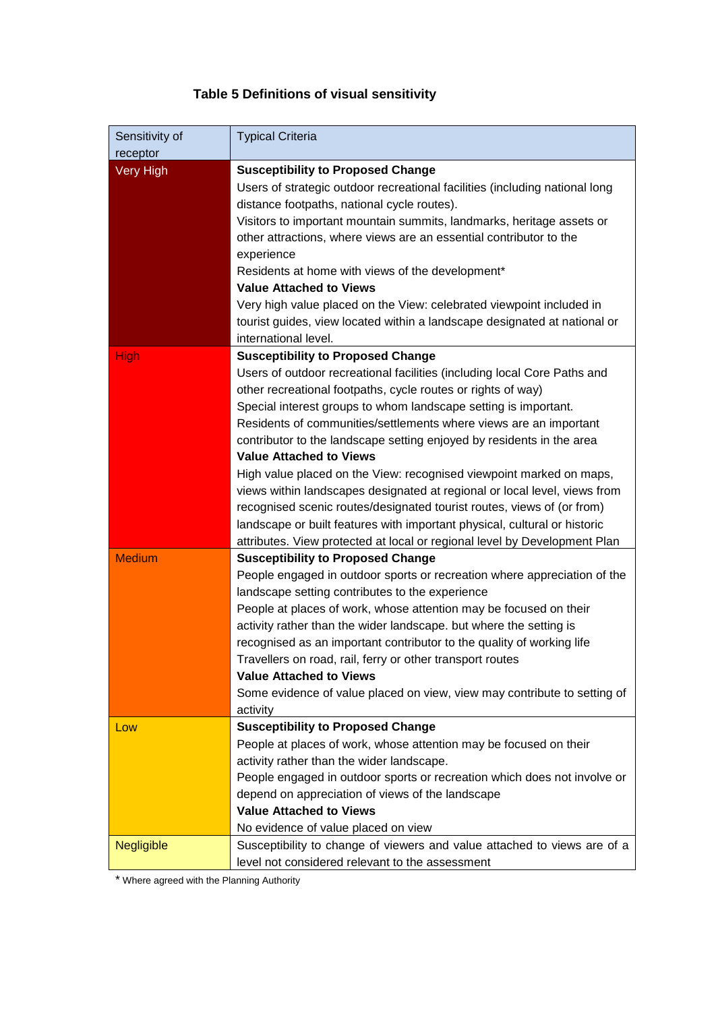# **Table 5 Definitions of visual sensitivity**

<span id="page-14-0"></span>

| Sensitivity of<br>receptor | <b>Typical Criteria</b>                                                                                                                                                                                                                                                                                                                                                                                                                                                                                                                                                                                                                                                                                                                                                                                                                                 |
|----------------------------|---------------------------------------------------------------------------------------------------------------------------------------------------------------------------------------------------------------------------------------------------------------------------------------------------------------------------------------------------------------------------------------------------------------------------------------------------------------------------------------------------------------------------------------------------------------------------------------------------------------------------------------------------------------------------------------------------------------------------------------------------------------------------------------------------------------------------------------------------------|
| Very High                  | <b>Susceptibility to Proposed Change</b><br>Users of strategic outdoor recreational facilities (including national long<br>distance footpaths, national cycle routes).<br>Visitors to important mountain summits, landmarks, heritage assets or<br>other attractions, where views are an essential contributor to the<br>experience<br>Residents at home with views of the development*<br><b>Value Attached to Views</b><br>Very high value placed on the View: celebrated viewpoint included in<br>tourist guides, view located within a landscape designated at national or                                                                                                                                                                                                                                                                          |
| <b>High</b>                | international level.<br><b>Susceptibility to Proposed Change</b><br>Users of outdoor recreational facilities (including local Core Paths and<br>other recreational footpaths, cycle routes or rights of way)<br>Special interest groups to whom landscape setting is important.<br>Residents of communities/settlements where views are an important<br>contributor to the landscape setting enjoyed by residents in the area<br><b>Value Attached to Views</b><br>High value placed on the View: recognised viewpoint marked on maps,<br>views within landscapes designated at regional or local level, views from<br>recognised scenic routes/designated tourist routes, views of (or from)<br>landscape or built features with important physical, cultural or historic<br>attributes. View protected at local or regional level by Development Plan |
| <b>Medium</b>              | <b>Susceptibility to Proposed Change</b><br>People engaged in outdoor sports or recreation where appreciation of the<br>landscape setting contributes to the experience<br>People at places of work, whose attention may be focused on their<br>activity rather than the wider landscape. but where the setting is<br>recognised as an important contributor to the quality of working life<br>Travellers on road, rail, ferry or other transport routes<br><b>Value Attached to Views</b><br>Some evidence of value placed on view, view may contribute to setting of<br>activity                                                                                                                                                                                                                                                                      |
| Low                        | <b>Susceptibility to Proposed Change</b><br>People at places of work, whose attention may be focused on their<br>activity rather than the wider landscape.<br>People engaged in outdoor sports or recreation which does not involve or<br>depend on appreciation of views of the landscape<br><b>Value Attached to Views</b><br>No evidence of value placed on view                                                                                                                                                                                                                                                                                                                                                                                                                                                                                     |
| <b>Negligible</b>          | Susceptibility to change of viewers and value attached to views are of a<br>level not considered relevant to the assessment                                                                                                                                                                                                                                                                                                                                                                                                                                                                                                                                                                                                                                                                                                                             |

\* Where agreed with the Planning Authority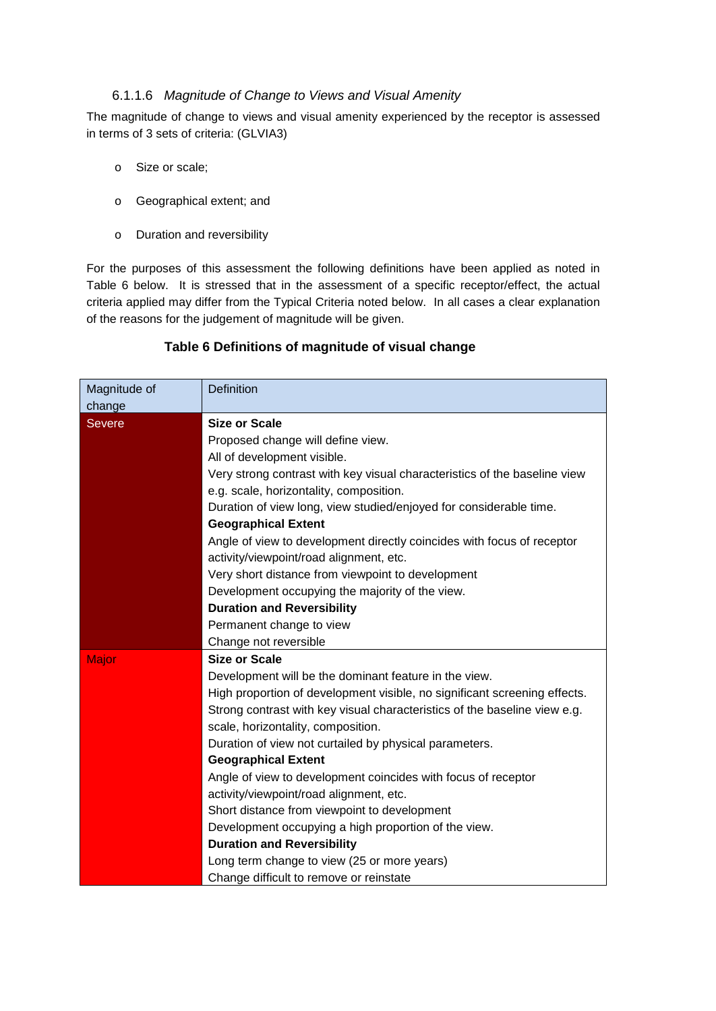#### 6.1.1.6 *Magnitude of Change to Views and Visual Amenity*

The magnitude of change to views and visual amenity experienced by the receptor is assessed in terms of 3 sets of criteria: (GLVIA3)

- o Size or scale;
- o Geographical extent; and
- o Duration and reversibility

For the purposes of this assessment the following definitions have been applied as noted in Table 6 below. It is stressed that in the assessment of a specific receptor/effect, the actual criteria applied may differ from the Typical Criteria noted below. In all cases a clear explanation of the reasons for the judgement of magnitude will be given.

| Magnitude of<br>change | <b>Definition</b>                                                         |  |  |  |  |  |
|------------------------|---------------------------------------------------------------------------|--|--|--|--|--|
| <b>Severe</b>          | <b>Size or Scale</b>                                                      |  |  |  |  |  |
|                        | Proposed change will define view.                                         |  |  |  |  |  |
|                        | All of development visible.                                               |  |  |  |  |  |
|                        | Very strong contrast with key visual characteristics of the baseline view |  |  |  |  |  |
|                        | e.g. scale, horizontality, composition.                                   |  |  |  |  |  |
|                        | Duration of view long, view studied/enjoyed for considerable time.        |  |  |  |  |  |
|                        | <b>Geographical Extent</b>                                                |  |  |  |  |  |
|                        | Angle of view to development directly coincides with focus of receptor    |  |  |  |  |  |
|                        | activity/viewpoint/road alignment, etc.                                   |  |  |  |  |  |
|                        | Very short distance from viewpoint to development                         |  |  |  |  |  |
|                        | Development occupying the majority of the view.                           |  |  |  |  |  |
|                        | <b>Duration and Reversibility</b>                                         |  |  |  |  |  |
|                        | Permanent change to view                                                  |  |  |  |  |  |
|                        | Change not reversible                                                     |  |  |  |  |  |
| Major                  | <b>Size or Scale</b>                                                      |  |  |  |  |  |
|                        | Development will be the dominant feature in the view.                     |  |  |  |  |  |
|                        | High proportion of development visible, no significant screening effects. |  |  |  |  |  |
|                        | Strong contrast with key visual characteristics of the baseline view e.g. |  |  |  |  |  |
|                        | scale, horizontality, composition.                                        |  |  |  |  |  |
|                        | Duration of view not curtailed by physical parameters.                    |  |  |  |  |  |
|                        | <b>Geographical Extent</b>                                                |  |  |  |  |  |
|                        | Angle of view to development coincides with focus of receptor             |  |  |  |  |  |
|                        | activity/viewpoint/road alignment, etc.                                   |  |  |  |  |  |
|                        | Short distance from viewpoint to development                              |  |  |  |  |  |
|                        | Development occupying a high proportion of the view.                      |  |  |  |  |  |
|                        | <b>Duration and Reversibility</b>                                         |  |  |  |  |  |
|                        | Long term change to view (25 or more years)                               |  |  |  |  |  |
|                        | Change difficult to remove or reinstate                                   |  |  |  |  |  |

#### **Table 6 Definitions of magnitude of visual change**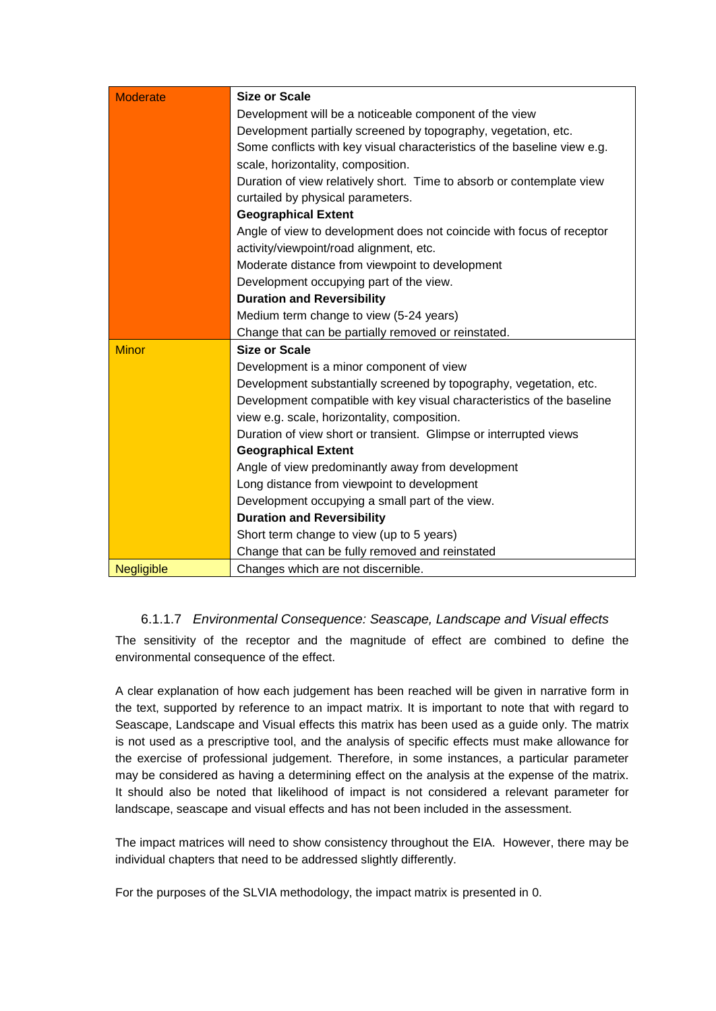| <b>Moderate</b>   | <b>Size or Scale</b>                                                     |  |  |  |  |  |  |
|-------------------|--------------------------------------------------------------------------|--|--|--|--|--|--|
|                   | Development will be a noticeable component of the view                   |  |  |  |  |  |  |
|                   | Development partially screened by topography, vegetation, etc.           |  |  |  |  |  |  |
|                   | Some conflicts with key visual characteristics of the baseline view e.g. |  |  |  |  |  |  |
|                   | scale, horizontality, composition.                                       |  |  |  |  |  |  |
|                   | Duration of view relatively short. Time to absorb or contemplate view    |  |  |  |  |  |  |
|                   | curtailed by physical parameters.                                        |  |  |  |  |  |  |
|                   | <b>Geographical Extent</b>                                               |  |  |  |  |  |  |
|                   | Angle of view to development does not coincide with focus of receptor    |  |  |  |  |  |  |
|                   | activity/viewpoint/road alignment, etc.                                  |  |  |  |  |  |  |
|                   | Moderate distance from viewpoint to development                          |  |  |  |  |  |  |
|                   | Development occupying part of the view.                                  |  |  |  |  |  |  |
|                   | <b>Duration and Reversibility</b>                                        |  |  |  |  |  |  |
|                   | Medium term change to view (5-24 years)                                  |  |  |  |  |  |  |
|                   | Change that can be partially removed or reinstated.                      |  |  |  |  |  |  |
| <b>Minor</b>      | <b>Size or Scale</b>                                                     |  |  |  |  |  |  |
|                   | Development is a minor component of view                                 |  |  |  |  |  |  |
|                   | Development substantially screened by topography, vegetation, etc.       |  |  |  |  |  |  |
|                   | Development compatible with key visual characteristics of the baseline   |  |  |  |  |  |  |
|                   | view e.g. scale, horizontality, composition.                             |  |  |  |  |  |  |
|                   | Duration of view short or transient. Glimpse or interrupted views        |  |  |  |  |  |  |
|                   | <b>Geographical Extent</b>                                               |  |  |  |  |  |  |
|                   | Angle of view predominantly away from development                        |  |  |  |  |  |  |
|                   | Long distance from viewpoint to development                              |  |  |  |  |  |  |
|                   | Development occupying a small part of the view.                          |  |  |  |  |  |  |
|                   | <b>Duration and Reversibility</b>                                        |  |  |  |  |  |  |
|                   | Short term change to view (up to 5 years)                                |  |  |  |  |  |  |
|                   | Change that can be fully removed and reinstated                          |  |  |  |  |  |  |
| <b>Negligible</b> | Changes which are not discernible.                                       |  |  |  |  |  |  |

### 6.1.1.7 *Environmental Consequence: Seascape, Landscape and Visual effects*

The sensitivity of the receptor and the magnitude of effect are combined to define the environmental consequence of the effect.

A clear explanation of how each judgement has been reached will be given in narrative form in the text, supported by reference to an impact matrix. It is important to note that with regard to Seascape, Landscape and Visual effects this matrix has been used as a guide only. The matrix is not used as a prescriptive tool, and the analysis of specific effects must make allowance for the exercise of professional judgement. Therefore, in some instances, a particular parameter may be considered as having a determining effect on the analysis at the expense of the matrix. It should also be noted that likelihood of impact is not considered a relevant parameter for landscape, seascape and visual effects and has not been included in the assessment.

The impact matrices will need to show consistency throughout the EIA. However, there may be individual chapters that need to be addressed slightly differently.

For the purposes of the SLVIA methodology, the impact matrix is presented in [0.](#page-17-0)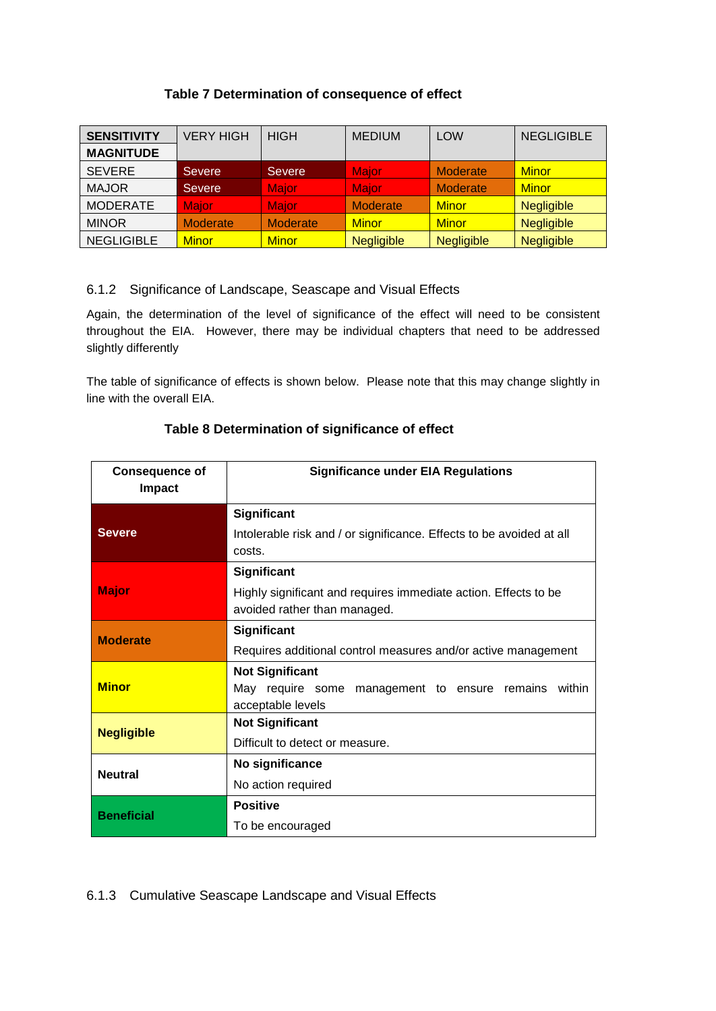#### **Table 7 Determination of consequence of effect**

<span id="page-17-0"></span>

| <b>SENSITIVITY</b> | <b>VERY HIGH</b> | <b>HIGH</b>     | <b>MEDIUM</b>     | <b>LOW</b>        | <b>NEGLIGIBLE</b> |
|--------------------|------------------|-----------------|-------------------|-------------------|-------------------|
| <b>MAGNITUDE</b>   |                  |                 |                   |                   |                   |
| <b>SEVERE</b>      | <b>Severe</b>    | <b>Severe</b>   | <b>Major</b>      | Moderate          | <b>Minor</b>      |
| <b>MAJOR</b>       | Severe           | <b>Major</b>    | <b>Major</b>      | Moderate          | <b>Minor</b>      |
| <b>MODERATE</b>    | <b>Maior</b>     | <b>Major</b>    | <b>Moderate</b>   | <b>Minor</b>      | <b>Negligible</b> |
| <b>MINOR</b>       | Moderate         | <b>Moderate</b> | <b>Minor</b>      | <b>Minor</b>      | <b>Negligible</b> |
| <b>NEGLIGIBLE</b>  | <b>Minor</b>     | <b>Minor</b>    | <b>Negligible</b> | <b>Negligible</b> | <b>Negligible</b> |

#### 6.1.2 Significance of Landscape, Seascape and Visual Effects

Again, the determination of the level of significance of the effect will need to be consistent throughout the EIA. However, there may be individual chapters that need to be addressed slightly differently

The table of significance of effects is shown below. Please note that this may change slightly in line with the overall EIA.

| <b>Consequence of</b><br><b>Impact</b> | <b>Significance under EIA Regulations</b>                                                       |
|----------------------------------------|-------------------------------------------------------------------------------------------------|
| <b>Severe</b>                          | Significant                                                                                     |
|                                        | Intolerable risk and / or significance. Effects to be avoided at all                            |
|                                        | costs.                                                                                          |
| <b>Major</b>                           | Significant                                                                                     |
|                                        | Highly significant and requires immediate action. Effects to be<br>avoided rather than managed. |
| <b>Moderate</b>                        | <b>Significant</b>                                                                              |
|                                        | Requires additional control measures and/or active management                                   |
| <b>Minor</b>                           | <b>Not Significant</b>                                                                          |
|                                        | May require some management to ensure remains<br>within                                         |
|                                        | acceptable levels                                                                               |
| <b>Negligible</b>                      | <b>Not Significant</b>                                                                          |
|                                        | Difficult to detect or measure.                                                                 |
| <b>Neutral</b>                         | No significance                                                                                 |
|                                        | No action required                                                                              |
| <b>Beneficial</b>                      | <b>Positive</b>                                                                                 |
|                                        | To be encouraged                                                                                |

### **Table 8 Determination of significance of effect**

#### 6.1.3 Cumulative Seascape Landscape and Visual Effects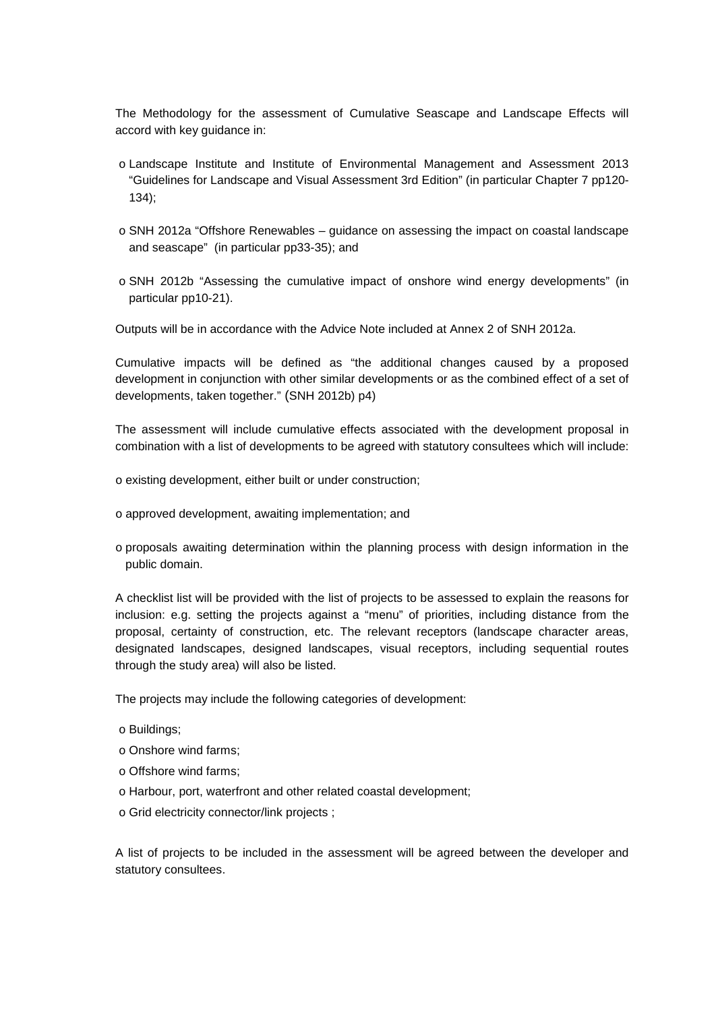The Methodology for the assessment of Cumulative Seascape and Landscape Effects will accord with key guidance in:

- o Landscape Institute and Institute of Environmental Management and Assessment 2013 "Guidelines for Landscape and Visual Assessment 3rd Edition" (in particular Chapter 7 pp120- 134);
- o SNH 2012a "Offshore Renewables guidance on assessing the impact on coastal landscape and seascape" (in particular pp33-35); and
- o SNH 2012b "Assessing the cumulative impact of onshore wind energy developments" (in particular pp10-21).

Outputs will be in accordance with the Advice Note included at Annex 2 of SNH 2012a.

Cumulative impacts will be defined as "the additional changes caused by a proposed development in conjunction with other similar developments or as the combined effect of a set of developments, taken together." (SNH 2012b) p4)

The assessment will include cumulative effects associated with the development proposal in combination with a list of developments to be agreed with statutory consultees which will include:

- o existing development, either built or under construction;
- o approved development, awaiting implementation; and
- o proposals awaiting determination within the planning process with design information in the public domain.

A checklist list will be provided with the list of projects to be assessed to explain the reasons for inclusion: e.g. setting the projects against a "menu" of priorities, including distance from the proposal, certainty of construction, etc. The relevant receptors (landscape character areas, designated landscapes, designed landscapes, visual receptors, including sequential routes through the study area) will also be listed.

The projects may include the following categories of development:

- o Buildings;
- o Onshore wind farms;
- o Offshore wind farms;
- o Harbour, port, waterfront and other related coastal development;
- o Grid electricity connector/link projects ;

A list of projects to be included in the assessment will be agreed between the developer and statutory consultees.